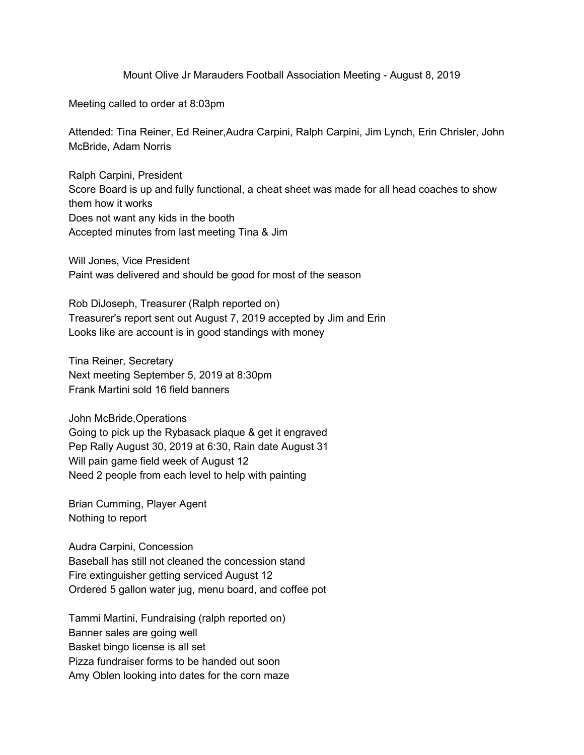Mount Olive Jr Marauders Football Association Meeting - August 8, 2019

Meeting called to order at 8:03pm

Attended: Tina Reiner, Ed Reiner,Audra Carpini, Ralph Carpini, Jim Lynch, Erin Chrisler, John McBride, Adam Norris

Ralph Carpini, President Score Board is up and fully functional, a cheat sheet was made for all head coaches to show them how it works Does not want any kids in the booth Accepted minutes from last meeting Tina & Jim

Will Jones, Vice President Paint was delivered and should be good for most of the season

Rob DiJoseph, Treasurer (Ralph reported on) Treasurer's report sent out August 7, 2019 accepted by Jim and Erin Looks like are account is in good standings with money

Tina Reiner, Secretary Next meeting September 5, 2019 at 8:30pm Frank Martini sold 16 field banners

John McBride,Operations Going to pick up the Rybasack plaque & get it engraved Pep Rally August 30, 2019 at 6:30, Rain date August 31 Will pain game field week of August 12 Need 2 people from each level to help with painting

Brian Cumming, Player Agent Nothing to report

Audra Carpini, Concession Baseball has still not cleaned the concession stand Fire extinguisher getting serviced August 12 Ordered 5 gallon water jug, menu board, and coffee pot

Tammi Martini, Fundraising (ralph reported on) Banner sales are going well Basket bingo license is all set Pizza fundraiser forms to be handed out soon Amy Oblen looking into dates for the corn maze